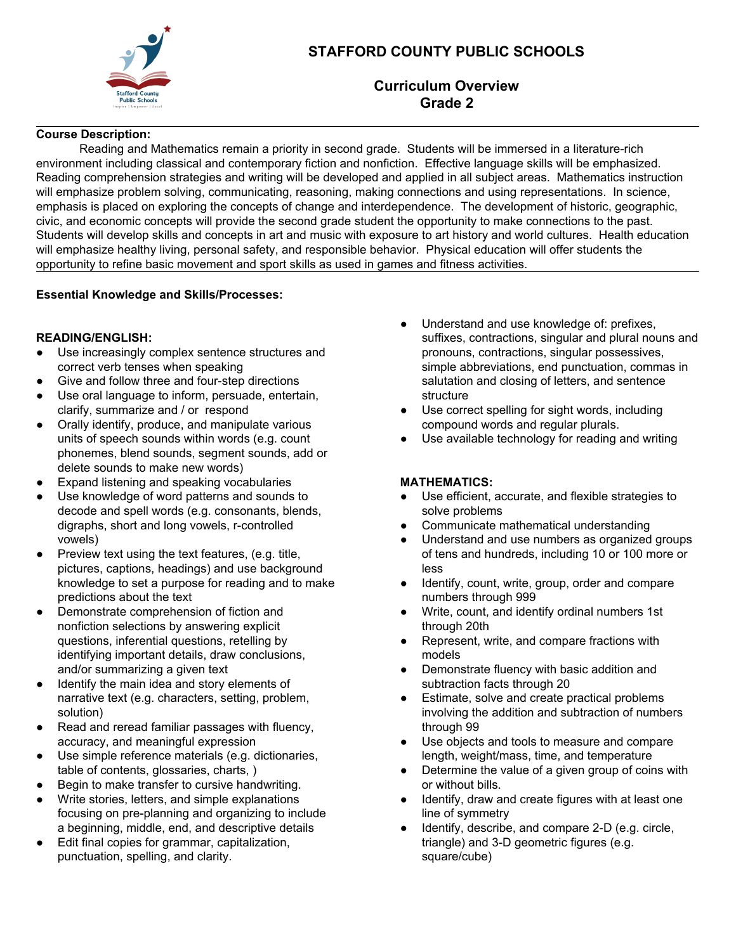

# **STAFFORD COUNTY PUBLIC SCHOOLS**

## **Curriculum Overview Grade 2**

### **Course Description:**

Reading and Mathematics remain a priority in second grade. Students will be immersed in a literature-rich environment including classical and contemporary fiction and nonfiction. Effective language skills will be emphasized. Reading comprehension strategies and writing will be developed and applied in all subject areas. Mathematics instruction will emphasize problem solving, communicating, reasoning, making connections and using representations. In science, emphasis is placed on exploring the concepts of change and interdependence. The development of historic, geographic, civic, and economic concepts will provide the second grade student the opportunity to make connections to the past. Students will develop skills and concepts in art and music with exposure to art history and world cultures. Health education will emphasize healthy living, personal safety, and responsible behavior. Physical education will offer students the opportunity to refine basic movement and sport skills as used in games and fitness activities.

#### **Essential Knowledge and Skills/Processes:**

#### **READING/ENGLISH:**

- Use increasingly complex sentence structures and correct verb tenses when speaking
- Give and follow three and four-step directions
- Use oral language to inform, persuade, entertain, clarify, summarize and / or respond
- Orally identify, produce, and manipulate various units of speech sounds within words (e.g. count phonemes, blend sounds, segment sounds, add or delete sounds to make new words)
- Expand listening and speaking vocabularies
- Use knowledge of word patterns and sounds to decode and spell words (e.g. consonants, blends, digraphs, short and long vowels, r-controlled vowels)
- Preview text using the text features, (e.g. title, pictures, captions, headings) and use background knowledge to set a purpose for reading and to make predictions about the text
- Demonstrate comprehension of fiction and nonfiction selections by answering explicit questions, inferential questions, retelling by identifying important details, draw conclusions, and/or summarizing a given text
- Identify the main idea and story elements of narrative text (e.g. characters, setting, problem, solution)
- Read and reread familiar passages with fluency, accuracy, and meaningful expression
- Use simple reference materials (e.g. dictionaries, table of contents, glossaries, charts, )
- Begin to make transfer to cursive handwriting.
- Write stories, letters, and simple explanations focusing on pre-planning and organizing to include a beginning, middle, end, and descriptive details
- Edit final copies for grammar, capitalization, punctuation, spelling, and clarity.
- Understand and use knowledge of: prefixes, suffixes, contractions, singular and plural nouns and pronouns, contractions, singular possessives, simple abbreviations, end punctuation, commas in salutation and closing of letters, and sentence structure
- Use correct spelling for sight words, including compound words and regular plurals.
- Use available technology for reading and writing

### **MATHEMATICS:**

- Use efficient, accurate, and flexible strategies to solve problems
- Communicate mathematical understanding
- Understand and use numbers as organized groups of tens and hundreds, including 10 or 100 more or less
- Identify, count, write, group, order and compare numbers through 999
- Write, count, and identify ordinal numbers 1st through 20th
- Represent, write, and compare fractions with models
- Demonstrate fluency with basic addition and subtraction facts through 20
- Estimate, solve and create practical problems involving the addition and subtraction of numbers through 99
- Use objects and tools to measure and compare length, weight/mass, time, and temperature
- Determine the value of a given group of coins with or without bills.
- Identify, draw and create figures with at least one line of symmetry
- Identify, describe, and compare 2-D (e.g. circle, triangle) and 3-D geometric figures (e.g. square/cube)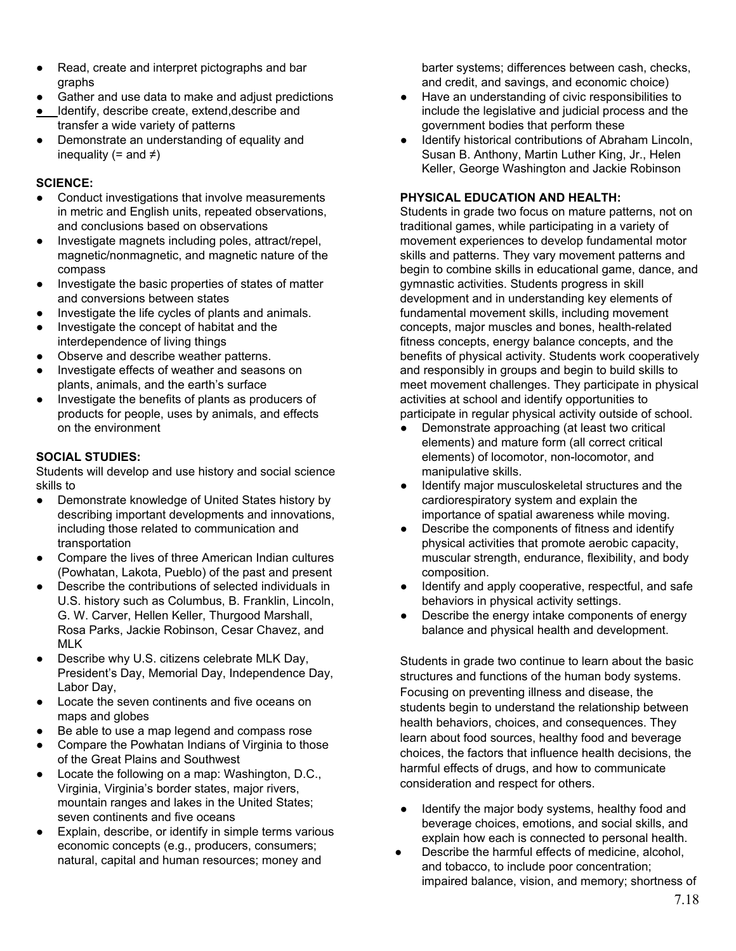- Read, create and interpret pictographs and bar graphs
- Gather and use data to make and adjust predictions
- Identify, describe create, extend,describe and transfer a wide variety of patterns
- Demonstrate an understanding of equality and inequality (= and  $\neq$ )

#### **SCIENCE:**

- Conduct investigations that involve measurements in metric and English units, repeated observations, and conclusions based on observations
- Investigate magnets including poles, attract/repel, magnetic/nonmagnetic, and magnetic nature of the compass
- Investigate the basic properties of states of matter and conversions between states
- Investigate the life cycles of plants and animals.
- Investigate the concept of habitat and the interdependence of living things
- Observe and describe weather patterns.
- Investigate effects of weather and seasons on plants, animals, and the earth's surface
- Investigate the benefits of plants as producers of products for people, uses by animals, and effects on the environment

## **SOCIAL STUDIES:**

Students will develop and use history and social science skills to

- Demonstrate knowledge of United States history by describing important developments and innovations, including those related to communication and transportation
- Compare the lives of three American Indian cultures (Powhatan, Lakota, Pueblo) of the past and present
- Describe the contributions of selected individuals in U.S. history such as Columbus, B. Franklin, Lincoln, G. W. Carver, Hellen Keller, Thurgood Marshall, Rosa Parks, Jackie Robinson, Cesar Chavez, and MLK
- Describe why U.S. citizens celebrate MLK Day, President's Day, Memorial Day, Independence Day, Labor Day,
- Locate the seven continents and five oceans on maps and globes
- Be able to use a map legend and compass rose
- Compare the Powhatan Indians of Virginia to those of the Great Plains and Southwest
- Locate the following on a map: Washington, D.C., Virginia, Virginia's border states, major rivers, mountain ranges and lakes in the United States; seven continents and five oceans
- Explain, describe, or identify in simple terms various economic concepts (e.g., producers, consumers; natural, capital and human resources; money and

barter systems; differences between cash, checks, and credit, and savings, and economic choice)

- Have an understanding of civic responsibilities to include the legislative and judicial process and the government bodies that perform these
- Identify historical contributions of Abraham Lincoln, Susan B. Anthony, Martin Luther King, Jr., Helen Keller, George Washington and Jackie Robinson

## **PHYSICAL EDUCATION AND HEALTH:**

Students in grade two focus on mature patterns, not on traditional games, while participating in a variety of movement experiences to develop fundamental motor skills and patterns. They vary movement patterns and begin to combine skills in educational game, dance, and gymnastic activities. Students progress in skill development and in understanding key elements of fundamental movement skills, including movement concepts, major muscles and bones, health-related fitness concepts, energy balance concepts, and the benefits of physical activity. Students work cooperatively and responsibly in groups and begin to build skills to meet movement challenges. They participate in physical activities at school and identify opportunities to participate in regular physical activity outside of school.

- Demonstrate approaching (at least two critical elements) and mature form (all correct critical elements) of locomotor, non-locomotor, and manipulative skills.
- Identify major musculoskeletal structures and the cardiorespiratory system and explain the importance of spatial awareness while moving.
- Describe the components of fitness and identify physical activities that promote aerobic capacity, muscular strength, endurance, flexibility, and body composition.
- Identify and apply cooperative, respectful, and safe behaviors in physical activity settings.
- Describe the energy intake components of energy balance and physical health and development.

Students in grade two continue to learn about the basic structures and functions of the human body systems. Focusing on preventing illness and disease, the students begin to understand the relationship between health behaviors, choices, and consequences. They learn about food sources, healthy food and beverage choices, the factors that influence health decisions, the harmful effects of drugs, and how to communicate consideration and respect for others.

- Identify the major body systems, healthy food and beverage choices, emotions, and social skills, and explain how each is connected to personal health.
- Describe the harmful effects of medicine, alcohol, and tobacco, to include poor concentration; impaired balance, vision, and memory; shortness of